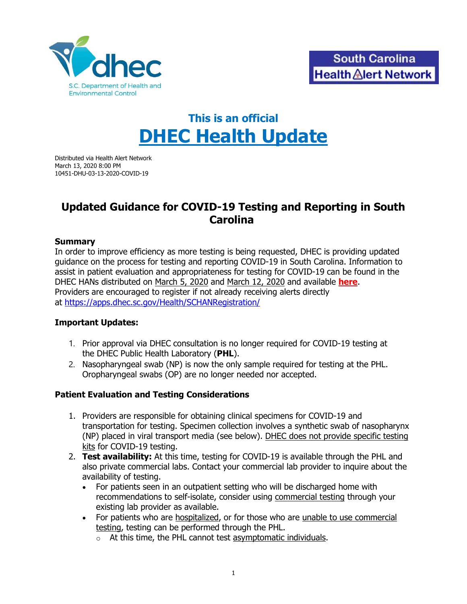

# **This is an official DHEC Health Update**

Distributed via Health Alert Network March 13, 2020 8:00 PM 10451-DHU-03-13-2020-COVID-19

## **Updated Guidance for COVID-19 Testing and Reporting in South Carolina**

#### **Summary**

In order to improve efficiency as more testing is being requested, DHEC is providing updated guidance on the process for testing and reporting COVID-19 in South Carolina. Information to assist in patient evaluation and appropriateness for testing for COVID-19 can be found in the DHEC HANs distributed on March 5, 2020 and March 12, 2020 and available **[here](https://www.scdhec.gov/health-professionals/south-carolina-health-alert-network)**. Providers are encouraged to register if not already receiving alerts directly at <https://apps.dhec.sc.gov/Health/SCHANRegistration/>

#### **Important Updates:**

- 1. Prior approval via DHEC consultation is no longer required for COVID-19 testing at the DHEC Public Health Laboratory (**PHL**).
- 2. Nasopharyngeal swab (NP) is now the only sample required for testing at the PHL. Oropharyngeal swabs (OP) are no longer needed nor accepted.

#### **Patient Evaluation and Testing Considerations**

- 1. Providers are responsible for obtaining clinical specimens for COVID-19 and transportation for testing. Specimen collection involves a synthetic swab of nasopharynx (NP) placed in viral transport media (see below). DHEC does not provide specific testing kits for COVID-19 testing.
- 2. **Test availability:** At this time, testing for COVID-19 is available through the PHL and also private commercial labs. Contact your commercial lab provider to inquire about the availability of testing.
	- For patients seen in an outpatient setting who will be discharged home with recommendations to self-isolate, consider using commercial testing through your existing lab provider as available.
	- For patients who are hospitalized, or for those who are unable to use commercial testing, testing can be performed through the PHL.
		- $\circ$  At this time, the PHL cannot test asymptomatic individuals.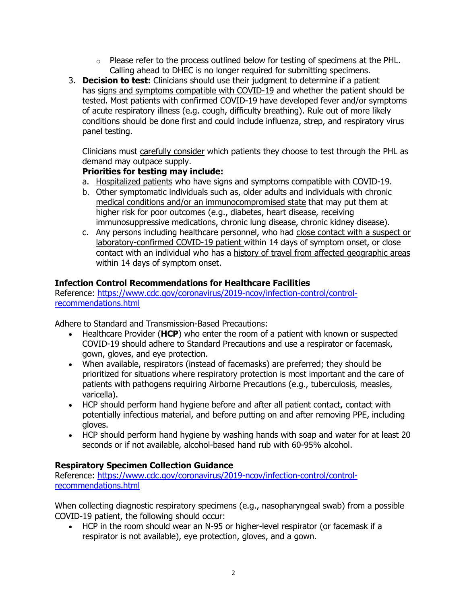- $\circ$  Please refer to the process outlined below for testing of specimens at the PHL. Calling ahead to DHEC is no longer required for submitting specimens.
- 3. **Decision to test:** Clinicians should use their judgment to determine if a patient has signs and symptoms compatible with COVID-19 and whether the patient should be tested. Most patients with confirmed COVID-19 have developed fever and/or symptoms of acute respiratory illness (e.g. cough, difficulty breathing). Rule out of more likely conditions should be done first and could include influenza, strep, and respiratory virus panel testing.

Clinicians must carefully consider which patients they choose to test through the PHL as demand may outpace supply.

### **Priorities for testing may include:**

- a. Hospitalized patients who have signs and symptoms compatible with COVID-19.
- b. Other symptomatic individuals such as, older adults and individuals with chronic medical conditions and/or an immunocompromised state that may put them at higher risk for poor outcomes (e.g., diabetes, heart disease, receiving immunosuppressive medications, chronic lung disease, chronic kidney disease).
- c. Any persons including healthcare personnel, who had close contact with a suspect or laboratory-confirmed COVID-19 patient within 14 days of symptom onset, or close contact with an individual who has a history of travel from affected geographic areas within 14 days of symptom onset.

## **Infection Control Recommendations for Healthcare Facilities**

Reference: [https://www.cdc.gov/coronavirus/2019-ncov/infection-control/control](https://www.cdc.gov/coronavirus/2019-ncov/infection-control/control-recommendations.html)[recommendations.html](https://www.cdc.gov/coronavirus/2019-ncov/infection-control/control-recommendations.html)

Adhere to Standard and Transmission-Based Precautions:

- Healthcare Provider (**HCP**) who enter the room of a patient with known or suspected COVID-19 should adhere to Standard Precautions and use a respirator or facemask, gown, gloves, and eye protection.
- When available, respirators (instead of facemasks) are preferred; they should be prioritized for situations where respiratory protection is most important and the care of patients with pathogens requiring Airborne Precautions (e.g., tuberculosis, measles, varicella).
- HCP should perform hand hygiene before and after all patient contact, contact with potentially infectious material, and before putting on and after removing PPE, including gloves.
- HCP should perform hand hygiene by washing hands with soap and water for at least 20 seconds or if not available, alcohol-based hand rub with 60-95% alcohol.

#### **Respiratory Specimen Collection Guidance**

Reference: [https://www.cdc.gov/coronavirus/2019-ncov/infection-control/control](https://www.cdc.gov/coronavirus/2019-ncov/infection-control/control-recommendations.html)[recommendations.html](https://www.cdc.gov/coronavirus/2019-ncov/infection-control/control-recommendations.html)

When collecting diagnostic respiratory specimens (e.g., nasopharyngeal swab) from a possible COVID-19 patient, the following should occur:

• HCP in the room should wear an N-95 or higher-level respirator (or facemask if a respirator is not available), eye protection, gloves, and a gown.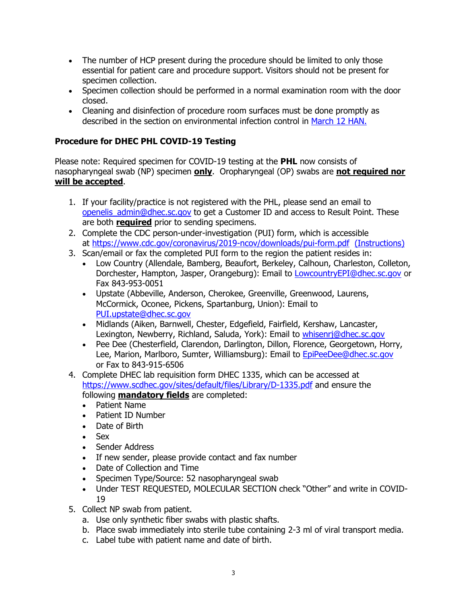- The number of HCP present during the procedure should be limited to only those essential for patient care and procedure support. Visitors should not be present for specimen collection.
- Specimen collection should be performed in a normal examination room with the door closed.
- Cleaning and disinfection of procedure room surfaces must be done promptly as described in the section on environmental infection control in [March 12 HAN.](https://www.scdhec.gov/sites/default/files/media/document/10450-DHU-03-12-2020-COVID-19.pdf)

## **Procedure for DHEC PHL COVID-19 Testing**

Please note: Required specimen for COVID-19 testing at the **PHL** now consists of nasopharyngeal swab (NP) specimen **only**. Oropharyngeal (OP) swabs are **not required nor will be accepted**.

- 1. If your facility/practice is not registered with the PHL, please send an email to [openelis\\_admin@dhec.sc.gov](mailto:openelis_admin@dhec.sc.gov) to get a Customer ID and access to Result Point. These are both **required** prior to sending specimens.
- 2. Complete the CDC person-under-investigation (PUI) form, which is accessible at <https://www.cdc.gov/coronavirus/2019-ncov/downloads/pui-form.pdf>[\(Instructions\)](https://www.cdc.gov/coronavirus/2019-ncov/downloads/COVID-19-Persons-Under-Investigation-and-Case-Report-Form-Instructions.pdf)
- 3. Scan/email or fax the completed PUI form to the region the patient resides in:
	- Low Country (Allendale, Bamberg, Beaufort, Berkeley, Calhoun, Charleston, Colleton, Dorchester, Hampton, Jasper, Orangeburg): Email to [LowcountryEPI@dhec.sc.gov](mailto:LowcountryEPI@dhec.sc.gov) or Fax 843-953-0051
	- Upstate (Abbeville, Anderson, Cherokee, Greenville, Greenwood, Laurens, McCormick, Oconee, Pickens, Spartanburg, Union): Email to [PUI.upstate@dhec.sc.gov](mailto:PUI.upstate@dhec.sc.gov)
	- Midlands (Aiken, Barnwell, Chester, Edgefield, Fairfield, Kershaw, Lancaster, Lexington, Newberry, Richland, Saluda, York): Email to whisenri@dhec.sc.gov
	- Pee Dee (Chesterfield, Clarendon, Darlington, Dillon, Florence, Georgetown, Horry, Lee, Marion, Marlboro, Sumter, Williamsburg): Email to [EpiPeeDee@dhec.sc.gov](mailto:EpiPeeDee@dhec.sc.gov) or Fax to 843-915-6506
- 4. Complete DHEC lab requisition form DHEC 1335, which can be accessed at <https://www.scdhec.gov/sites/default/files/Library/D-1335.pdf> and ensure the following **mandatory fields** are completed:
	- Patient Name
	- Patient ID Number
	- Date of Birth
	- Sex
	- Sender Address
	- If new sender, please provide contact and fax number
	- Date of Collection and Time
	- Specimen Type/Source: 52 nasopharyngeal swab
	- Under TEST REQUESTED, MOLECULAR SECTION check "Other" and write in COVID-19
- 5. Collect NP swab from patient.
	- a. Use only synthetic fiber swabs with plastic shafts.
	- b. Place swab immediately into sterile tube containing 2-3 ml of viral transport media.
	- c. Label tube with patient name and date of birth.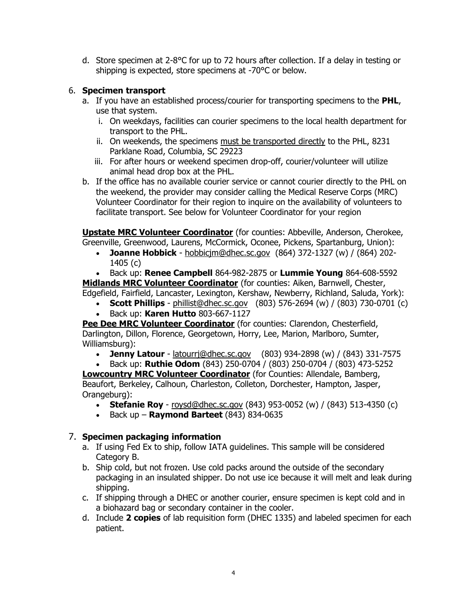d. Store specimen at 2-8°C for up to 72 hours after collection. If a delay in testing or shipping is expected, store specimens at -70°C or below.

### 6. **Specimen transport**

- a. If you have an established process/courier for transporting specimens to the **PHL**, use that system.
	- i. On weekdays, facilities can courier specimens to the local health department for transport to the PHL.
	- ii. On weekends, the specimens must be transported directly to the PHL, 8231 Parklane Road, Columbia, SC 29223
	- iii. For after hours or weekend specimen drop-off, courier/volunteer will utilize animal head drop box at the PHL.
- b. If the office has no available courier service or cannot courier directly to the PHL on the weekend, the provider may consider calling the Medical Reserve Corps (MRC) Volunteer Coordinator for their region to inquire on the availability of volunteers to facilitate transport. See below for Volunteer Coordinator for your region

**Upstate MRC Volunteer Coordinator** (for counties: Abbeville, Anderson, Cherokee, Greenville, Greenwood, Laurens, McCormick, Oconee, Pickens, Spartanburg, Union):

• **Joanne Hobbick** - [hobbicjm@dhec.sc.gov](mailto:hobbicjm@dhec.sc.gov) (864) 372-1327 (w) / (864) 202- 1405 (c)

• Back up: **Renee Campbell** 864-982-2875 or **Lummie Young** 864-608-5592 **Midlands MRC Volunteer Coordinator** (for counties: Aiken, Barnwell, Chester,

Edgefield, Fairfield, Lancaster, Lexington, Kershaw, Newberry, Richland, Saluda, York):

- **Scott Phillips** [phillist@dhec.sc.gov](mailto:phillist@dhec.sc.gov) (803) 576-2694 (w) / (803) 730-0701 (c)
- Back up: **Karen Hutto** 803-667-1127

**Pee Dee MRC Volunteer Coordinator** (for counties: Clarendon, Chesterfield, Darlington, Dillon, Florence, Georgetown, Horry, Lee, Marion, Marlboro, Sumter, Williamsburg):

• **Jenny Latour** - [latourrj@dhec.sc.gov](mailto:latourrj@dhec.sc.gov) (803) 934-2898 (w) / (843) 331-7575

• Back up: **Ruthie Odom** (843) 250-0704 / (803) 250-0704 / (803) 473-5252 **Lowcountry MRC Volunteer Coordinator** (for Counties: Allendale, Bamberg, Beaufort, Berkeley, Calhoun, Charleston, Colleton, Dorchester, Hampton, Jasper, Orangeburg):

- **Stefanie Roy** [roysd@dhec.sc.gov](mailto:roysd@dhec.sc.gov) (843) 953-0052 (w) / (843) 513-4350 (c)
- Back up **Raymond Barteet** (843) 834-0635

## 7. **Specimen packaging information**

- a. If using Fed Ex to ship, follow IATA guidelines. This sample will be considered Category B.
- b. Ship cold, but not frozen. Use cold packs around the outside of the secondary packaging in an insulated shipper. Do not use ice because it will melt and leak during shipping.
- c. If shipping through a DHEC or another courier, ensure specimen is kept cold and in a biohazard bag or secondary container in the cooler.
- d. Include **2 copies** of lab requisition form (DHEC 1335) and labeled specimen for each patient.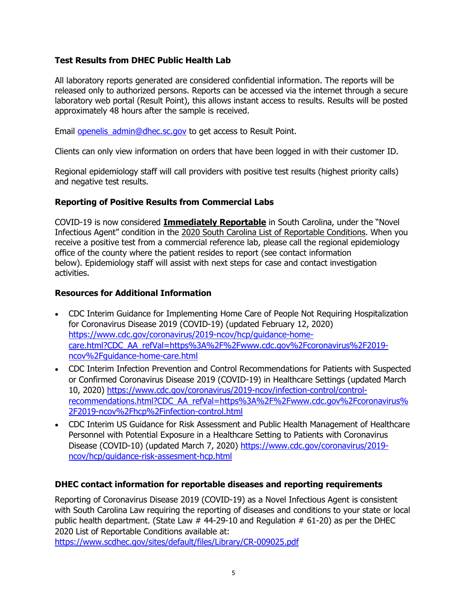#### **Test Results from DHEC Public Health Lab**

All laboratory reports generated are considered confidential information. The reports will be released only to authorized persons. Reports can be accessed via the internet through a secure laboratory web portal (Result Point), this allows instant access to results. Results will be posted approximately 48 hours after the sample is received.

Email [openelis\\_admin@dhec.sc.gov](mailto:openelis_admin@dhec.sc.gov) to get access to Result Point.

Clients can only view information on orders that have been logged in with their customer ID.

Regional epidemiology staff will call providers with positive test results (highest priority calls) and negative test results.

#### **Reporting of Positive Results from Commercial Labs**

COVID-19 is now considered **Immediately Reportable** in South Carolina, under the "Novel Infectious Agent" condition in the [2020 South Carolina List of Reportable Conditions.](http://scdhec.gov/sites/default/files/Library/CR-009025.pdf) When you receive a positive test from a commercial reference lab, please call the regional epidemiology office of the county where the patient resides to report (see contact information below). Epidemiology staff will assist with next steps for case and contact investigation activities.

#### **Resources for Additional Information**

- CDC Interim Guidance for Implementing Home Care of People Not Requiring Hospitalization for Coronavirus Disease 2019 (COVID-19) (updated February 12, 2020) [https://www.cdc.gov/coronavirus/2019-ncov/hcp/guidance-home](https://www.cdc.gov/coronavirus/2019-ncov/hcp/guidance-home-care.html?CDC_AA_refVal=https%3A%2F%2Fwww.cdc.gov%2Fcoronavirus%2F2019-ncov%2Fguidance-home-care.html)[care.html?CDC\\_AA\\_refVal=https%3A%2F%2Fwww.cdc.gov%2Fcoronavirus%2F2019](https://www.cdc.gov/coronavirus/2019-ncov/hcp/guidance-home-care.html?CDC_AA_refVal=https%3A%2F%2Fwww.cdc.gov%2Fcoronavirus%2F2019-ncov%2Fguidance-home-care.html) [ncov%2Fguidance-home-care.html](https://www.cdc.gov/coronavirus/2019-ncov/hcp/guidance-home-care.html?CDC_AA_refVal=https%3A%2F%2Fwww.cdc.gov%2Fcoronavirus%2F2019-ncov%2Fguidance-home-care.html)
- CDC Interim Infection Prevention and Control Recommendations for Patients with Suspected or Confirmed Coronavirus Disease 2019 (COVID-19) in Healthcare Settings (updated March 10, 2020) [https://www.cdc.gov/coronavirus/2019-ncov/infection-control/control](https://www.cdc.gov/coronavirus/2019-ncov/infection-control/control-recommendations.html?CDC_AA_refVal=https%3A%2F%2Fwww.cdc.gov%2Fcoronavirus%2F2019-ncov%2Fhcp%2Finfection-control.html)[recommendations.html?CDC\\_AA\\_refVal=https%3A%2F%2Fwww.cdc.gov%2Fcoronavirus%](https://www.cdc.gov/coronavirus/2019-ncov/infection-control/control-recommendations.html?CDC_AA_refVal=https%3A%2F%2Fwww.cdc.gov%2Fcoronavirus%2F2019-ncov%2Fhcp%2Finfection-control.html) [2F2019-ncov%2Fhcp%2Finfection-control.html](https://www.cdc.gov/coronavirus/2019-ncov/infection-control/control-recommendations.html?CDC_AA_refVal=https%3A%2F%2Fwww.cdc.gov%2Fcoronavirus%2F2019-ncov%2Fhcp%2Finfection-control.html)
- CDC Interim US Guidance for Risk Assessment and Public Health Management of Healthcare Personnel with Potential Exposure in a Healthcare Setting to Patients with Coronavirus Disease (COVID-10) (updated March 7, 2020) [https://www.cdc.gov/coronavirus/2019](https://www.cdc.gov/coronavirus/2019-ncov/hcp/guidance-risk-assesment-hcp.html) [ncov/hcp/guidance-risk-assesment-hcp.html](https://www.cdc.gov/coronavirus/2019-ncov/hcp/guidance-risk-assesment-hcp.html)

#### **DHEC contact information for reportable diseases and reporting requirements**

Reporting of Coronavirus Disease 2019 (COVID-19) as a Novel Infectious Agent is consistent with South Carolina Law requiring the reporting of diseases and conditions to your state or local public health department. (State Law  $#$  44-29-10 and Regulation  $#$  61-20) as per the DHEC 2020 List of Reportable Conditions available at:

<https://www.scdhec.gov/sites/default/files/Library/CR-009025.pdf>